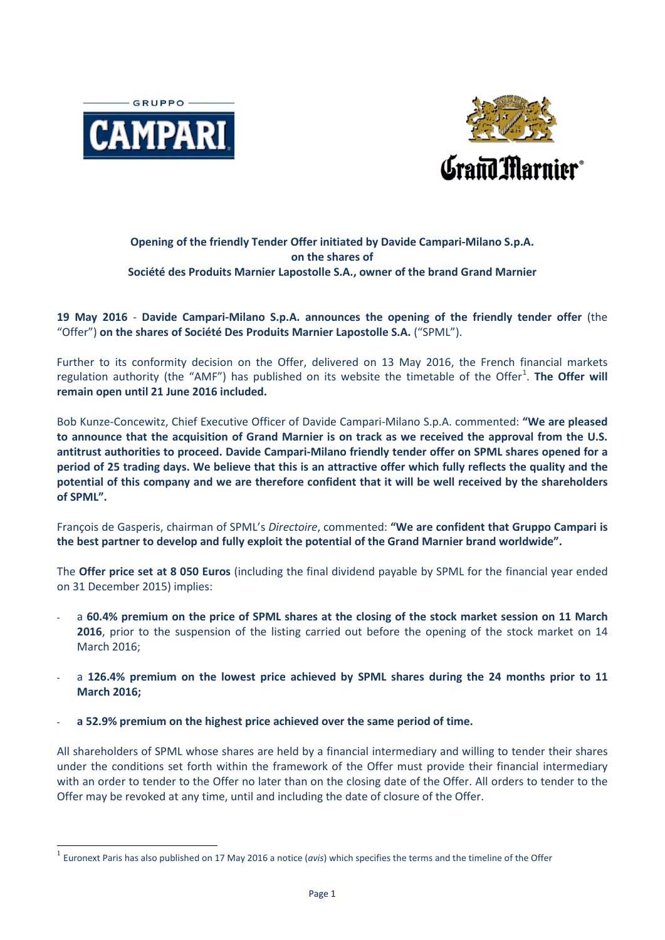



# **Opening of the friendly Tender Offer initiated by Davide Campari-Milano S.p.A. on the shares of Société des Produits Marnier Lapostolle S.A., owner of the brand Grand Marnier**

## **19 May 2016** - **Davide Campari-Milano S.p.A. announces the opening of the friendly tender offer** (the "Offer") **on the shares of Société Des Produits Marnier Lapostolle S.A.** ("SPML").

Further to its conformity decision on the Offer, delivered on 13 May 2016, the French financial markets regulation authority (the "AMF") has published on its website the timetable of the Offer<sup>[1](#page-0-0)</sup>. The Offer will **remain open until 21 June 2016 included.**

Bob Kunze-Concewitz, Chief Executive Officer of Davide Campari-Milano S.p.A. commented: **"We are pleased to announce that the acquisition of Grand Marnier is on track as we received the approval from the U.S. antitrust authorities to proceed. Davide Campari-Milano friendly tender offer on SPML shares opened for a period of 25 trading days. We believe that this is an attractive offer which fully reflects the quality and the potential of this company and we are therefore confident that it will be well received by the shareholders of SPML".**

François de Gasperis, chairman of SPML's *Directoire*, commented: **"We are confident that Gruppo Campari is the best partner to develop and fully exploit the potential of the Grand Marnier brand worldwide".**

The **Offer price set at 8 050 Euros** (including the final dividend payable by SPML for the financial year ended on 31 December 2015) implies:

- a **60.4% premium on the price of SPML shares at the closing of the stock market session on 11 March 2016**, prior to the suspension of the listing carried out before the opening of the stock market on 14 March 2016;
- a **126.4% premium on the lowest price achieved by SPML shares during the 24 months prior to 11 March 2016;**
- **a 52.9% premium on the highest price achieved over the same period of time.**

All shareholders of SPML whose shares are held by a financial intermediary and willing to tender their shares under the conditions set forth within the framework of the Offer must provide their financial intermediary with an order to tender to the Offer no later than on the closing date of the Offer. All orders to tender to the Offer may be revoked at any time, until and including the date of closure of the Offer.

<span id="page-0-0"></span> <sup>1</sup> Euronext Paris has also published on 17 May 2016 a notice (*avis*) which specifies the terms and the timeline of the Offer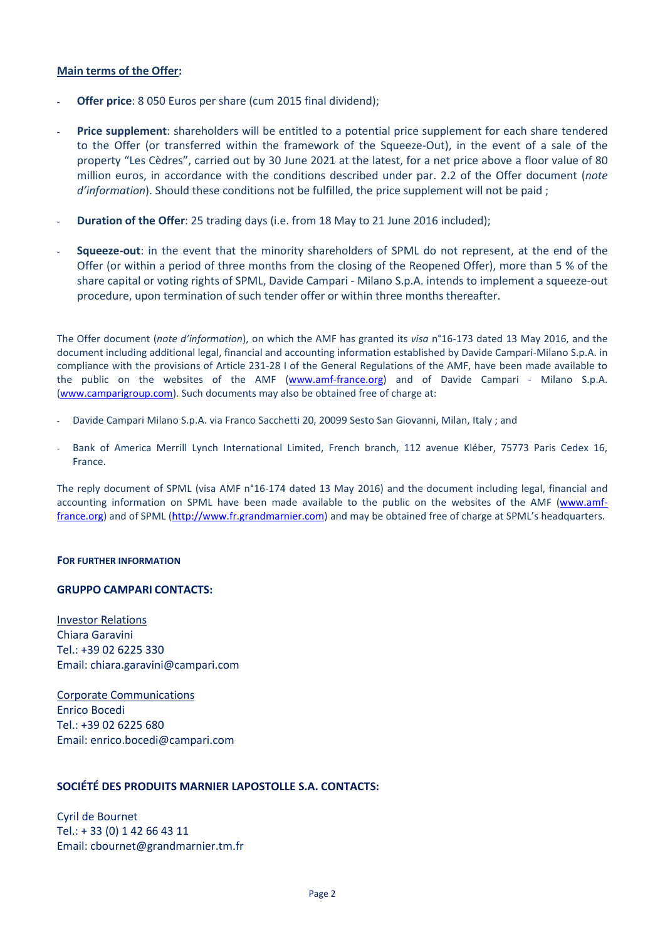### **Main terms of the Offer:**

- **Offer price**: 8 050 Euros per share (cum 2015 final dividend);
- **Price supplement**: shareholders will be entitled to a potential price supplement for each share tendered to the Offer (or transferred within the framework of the Squeeze-Out), in the event of a sale of the property "Les Cèdres", carried out by 30 June 2021 at the latest, for a net price above a floor value of 80 million euros, in accordance with the conditions described under par. 2.2 of the Offer document (*note d'information*). Should these conditions not be fulfilled, the price supplement will not be paid ;
- **Duration of the Offer**: 25 trading days (i.e. from 18 May to 21 June 2016 included);
- **Squeeze-out**: in the event that the minority shareholders of SPML do not represent, at the end of the Offer (or within a period of three months from the closing of the Reopened Offer), more than 5 % of the share capital or voting rights of SPML, Davide Campari - Milano S.p.A. intends to implement a squeeze-out procedure, upon termination of such tender offer or within three months thereafter.

The Offer document (*note d'information*), on which the AMF has granted its *visa* n°16-173 dated 13 May 2016, and the document including additional legal, financial and accounting information established by Davide Campari-Milano S.p.A. in compliance with the provisions of Article 231-28 I of the General Regulations of the AMF, have been made available to the public on the websites of the AMF [\(www.amf-france.org\)](http://www.amf-france.org/) and of Davide Campari - Milano S.p.A. [\(www.camparigroup.com\)](http://www.camparigroup.com/en/governance). Such documents may also be obtained free of charge at:

- Davide Campari Milano S.p.A. via Franco Sacchetti 20, 20099 Sesto San Giovanni, Milan, Italy ; and
- Bank of America Merrill Lynch International Limited, French branch, 112 avenue Kléber, 75773 Paris Cedex 16, France.

The reply document of SPML (visa AMF n°16-174 dated 13 May 2016) and the document including legal, financial and accounting information on SPML have been made available to the public on the websites of the AMF [\(www.amf](http://www.amf-france.org/)[france.org\)](http://www.amf-france.org/) and of SPML [\(http://www.fr.grandmarnier.com\)](http://www.fr.grandmarnier.com/) and may be obtained free of charge at SPML's headquarters.

### **FOR FURTHER INFORMATION**

### **GRUPPO CAMPARI CONTACTS:**

Investor Relations Chiara Garavini Tel.: +39 02 6225 330 Email: chiara.garavini@campari.com

Corporate Communications Enrico Bocedi Tel.: +39 02 6225 680 Email: enrico.bocedi@campari.com

### **SOCIÉTÉ DES PRODUITS MARNIER LAPOSTOLLE S.A. CONTACTS:**

Cyril de Bournet Tel.: + 33 (0) 1 42 66 43 11 Email: cbournet@grandmarnier.tm.fr